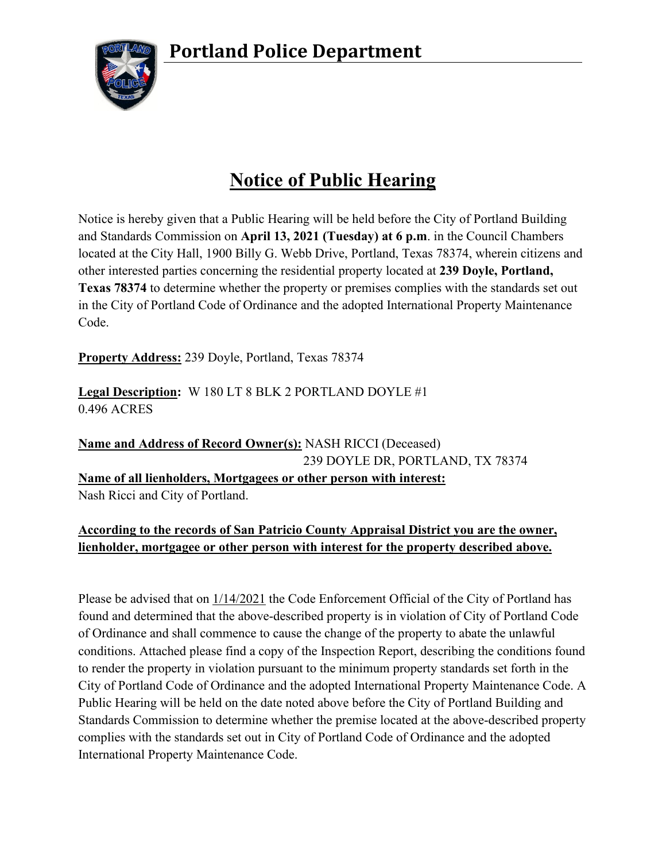**Portland Police Department**



## **Notice of Public Hearing**

Notice is hereby given that a Public Hearing will be held before the City of Portland Building and Standards Commission on **April 13, 2021 (Tuesday) at 6 p.m**. in the Council Chambers located at the City Hall, 1900 Billy G. Webb Drive, Portland, Texas 78374, wherein citizens and other interested parties concerning the residential property located at **239 Doyle, Portland, Texas 78374** to determine whether the property or premises complies with the standards set out in the City of Portland Code of Ordinance and the adopted International Property Maintenance Code.

**Property Address:** 239 Doyle, Portland, Texas 78374

**Legal Description:** W 180 LT 8 BLK 2 PORTLAND DOYLE #1 0.496 ACRES

**Name and Address of Record Owner(s):** NASH RICCI (Deceased) 239 DOYLE DR, PORTLAND, TX 78374 **Name of all lienholders, Mortgagees or other person with interest:** Nash Ricci and City of Portland.

## **According to the records of San Patricio County Appraisal District you are the owner, lienholder, mortgagee or other person with interest for the property described above.**

Please be advised that on 1/14/2021 the Code Enforcement Official of the City of Portland has found and determined that the above-described property is in violation of City of Portland Code of Ordinance and shall commence to cause the change of the property to abate the unlawful conditions. Attached please find a copy of the Inspection Report, describing the conditions found to render the property in violation pursuant to the minimum property standards set forth in the City of Portland Code of Ordinance and the adopted International Property Maintenance Code. A Public Hearing will be held on the date noted above before the City of Portland Building and Standards Commission to determine whether the premise located at the above-described property complies with the standards set out in City of Portland Code of Ordinance and the adopted International Property Maintenance Code.